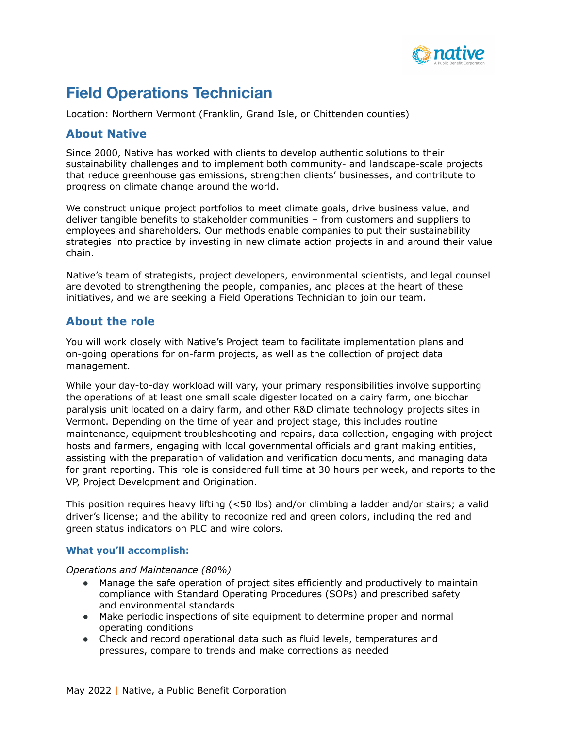

# **Field Operations Technician**

Location: Northern Vermont (Franklin, Grand Isle, or Chittenden counties)

### **About Native**

Since 2000, Native has worked with clients to develop authentic solutions to their sustainability challenges and to implement both community- and landscape-scale projects that reduce greenhouse gas emissions, strengthen clients' businesses, and contribute to progress on climate change around the world.

We construct unique project portfolios to meet climate goals, drive business value, and deliver tangible benefits to stakeholder communities – from customers and suppliers to employees and shareholders. Our methods enable companies to put their sustainability strategies into practice by investing in new climate action projects in and around their value chain.

Native's team of strategists, project developers, environmental scientists, and legal counsel are devoted to strengthening the people, companies, and places at the heart of these initiatives, and we are seeking a Field Operations Technician to join our team.

## **About the role**

You will work closely with Native's Project team to facilitate implementation plans and on-going operations for on-farm projects, as well as the collection of project data management.

While your day-to-day workload will vary, your primary responsibilities involve supporting the operations of at least one small scale digester located on a dairy farm, one biochar paralysis unit located on a dairy farm, and other R&D climate technology projects sites in Vermont. Depending on the time of year and project stage, this includes routine maintenance, equipment troubleshooting and repairs, data collection, engaging with project hosts and farmers, engaging with local governmental officials and grant making entities, assisting with the preparation of validation and verification documents, and managing data for grant reporting. This role is considered full time at 30 hours per week, and reports to the VP, Project Development and Origination.

This position requires heavy lifting (<50 lbs) and/or climbing a ladder and/or stairs; a valid driver's license; and the ability to recognize red and green colors, including the red and green status indicators on PLC and wire colors.

#### **What you'll accomplish:**

*Operations and Maintenance (80%)*

- Manage the safe operation of project sites efficiently and productively to maintain compliance with Standard Operating Procedures (SOPs) and prescribed safety and environmental standards
- Make periodic inspections of site equipment to determine proper and normal operating conditions
- Check and record operational data such as fluid levels, temperatures and pressures, compare to trends and make corrections as needed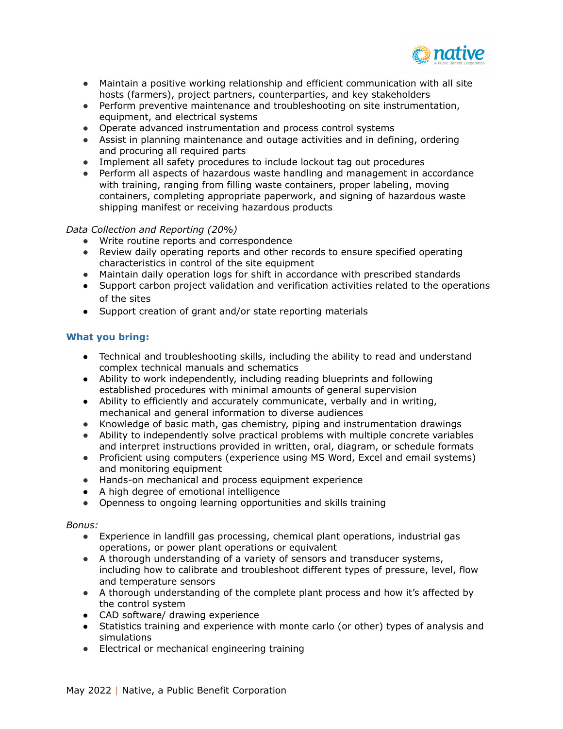

- Maintain a positive working relationship and efficient communication with all site hosts (farmers), project partners, counterparties, and key stakeholders
- Perform preventive maintenance and troubleshooting on site instrumentation, equipment, and electrical systems
- Operate advanced instrumentation and process control systems
- Assist in planning maintenance and outage activities and in defining, ordering and procuring all required parts
- Implement all safety procedures to include lockout tag out procedures
- Perform all aspects of hazardous waste handling and management in accordance with training, ranging from filling waste containers, proper labeling, moving containers, completing appropriate paperwork, and signing of hazardous waste shipping manifest or receiving hazardous products

#### *Data Collection and Reporting (20%)*

- Write routine reports and correspondence
- Review daily operating reports and other records to ensure specified operating characteristics in control of the site equipment
- Maintain daily operation logs for shift in accordance with prescribed standards
- Support carbon project validation and verification activities related to the operations of the sites
- Support creation of grant and/or state reporting materials

#### **What you bring:**

- Technical and troubleshooting skills, including the ability to read and understand complex technical manuals and schematics
- Ability to work independently, including reading blueprints and following established procedures with minimal amounts of general supervision
- Ability to efficiently and accurately communicate, verbally and in writing, mechanical and general information to diverse audiences
- Knowledge of basic math, gas chemistry, piping and instrumentation drawings
- Ability to independently solve practical problems with multiple concrete variables and interpret instructions provided in written, oral, diagram, or schedule formats
- Proficient using computers (experience using MS Word, Excel and email systems) and monitoring equipment
- Hands-on mechanical and process equipment experience
- A high degree of emotional intelligence
- Openness to ongoing learning opportunities and skills training

#### *Bonus:*

- Experience in landfill gas processing, chemical plant operations, industrial gas operations, or power plant operations or equivalent
- A thorough understanding of a variety of sensors and transducer systems, including how to calibrate and troubleshoot different types of pressure, level, flow and temperature sensors
- A thorough understanding of the complete plant process and how it's affected by the control system
- CAD software/ drawing experience
- Statistics training and experience with monte carlo (or other) types of analysis and simulations
- Electrical or mechanical engineering training